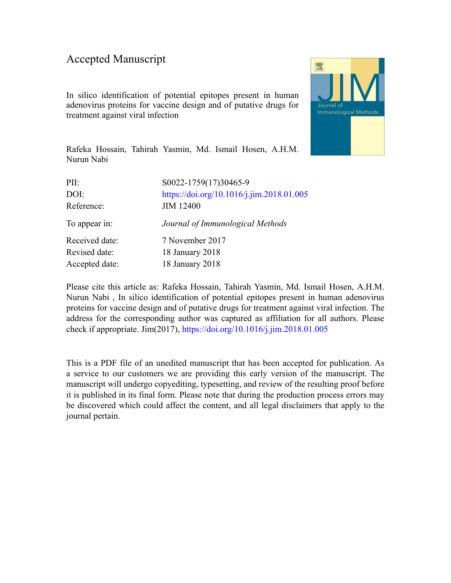## Accepted Manuscript

In silico identification of potential epitopes present in human adenovirus proteins for vaccine design and of putative drugs for treatment against viral infection



Rafeka Hossain, Tahirah Yasmin, Md. Ismail Hosen, A.H.M. Nurun Nabi

| S0022-1759(17)30465-9                     |
|-------------------------------------------|
| https://doi.org/10.1016/j.jim.2018.01.005 |
| <b>JIM 12400</b>                          |
| Journal of Immunological Methods          |
| 7 November 2017                           |
| 18 January 2018                           |
| 18 January 2018                           |
|                                           |

Please cite this article as: Rafeka Hossain, Tahirah Yasmin, Md. Ismail Hosen, A.H.M. Nurun Nabi , In silico identification of potential epitopes present in human adenovirus proteins for vaccine design and of putative drugs for treatment against viral infection. The address for the corresponding author was captured as affiliation for all authors. Please check if appropriate. Jim(2017), <https://doi.org/10.1016/j.jim.2018.01.005>

This is a PDF file of an unedited manuscript that has been accepted for publication. As a service to our customers we are providing this early version of the manuscript. The manuscript will undergo copyediting, typesetting, and review of the resulting proof before it is published in its final form. Please note that during the production process errors may be discovered which could affect the content, and all legal disclaimers that apply to the journal pertain.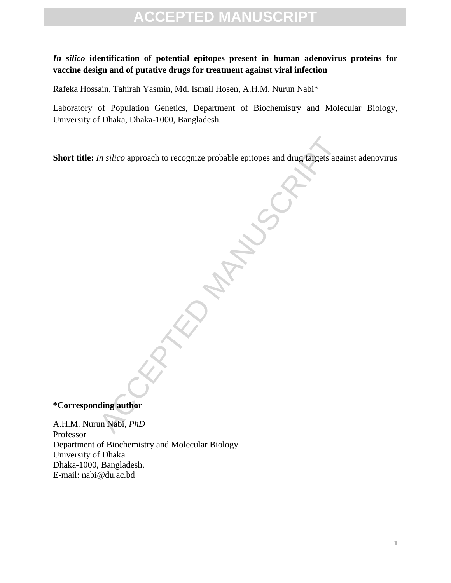## **ACCEPTED MANUSCRIPT**

## *In silico* **identification of potential epitopes present in human adenovirus proteins for vaccine design and of putative drugs for treatment against viral infection**

Rafeka Hossain, Tahirah Yasmin, Md. Ismail Hosen, A.H.M. Nurun Nabi\*

Laboratory of Population Genetics, Department of Biochemistry and Molecular Biology, University of Dhaka, Dhaka-1000, Bangladesh.

In silico approach to recognize probable epitopes and drug targets aga<br>
and the probable of the state of the state of the state of the state of the state of the state of the state of the state of the state of the state of **Short title:** *In silico* approach to recognize probable epitopes and drug targets against adenovirus

**\*Corresponding author**

A.H.M. Nurun Nabi, *PhD* Professor Department of Biochemistry and Molecular Biology University of Dhaka Dhaka-1000, Bangladesh. E-mail: nabi@du.ac.bd